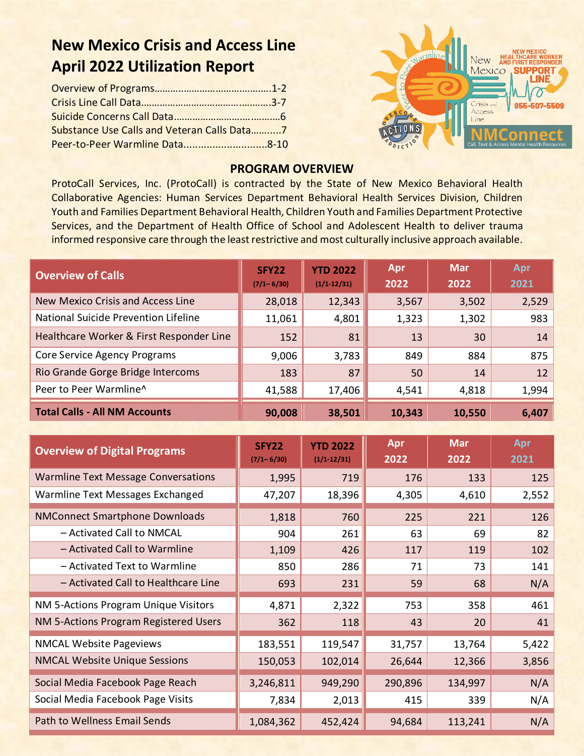# **New Mexico Crisis and Access Line April 2022 Utilization Report**

| Substance Use Calls and Veteran Calls Data7 |  |
|---------------------------------------------|--|
|                                             |  |



#### **PROGRAM OVERVIEW**

ProtoCall Services, Inc. (ProtoCall) is contracted by the State of New Mexico Behavioral Health Collaborative Agencies: Human Services Department Behavioral Health Services Division, Children Youth and Families Department Behavioral Health, Children Youth and Families Department Protective Services, and the Department of Health Office of School and Adolescent Health to deliver trauma informed responsive care through the least restrictive and most culturally inclusive approach available.

| <b>Overview of Calls</b>                 | SFY <sub>22</sub><br>$(7/1 - 6/30)$ | <b>YTD 2022</b><br>$(1/1-12/31)$ | Apr<br>2022 | <b>Mar</b><br>2022 | Apr<br>2021 |
|------------------------------------------|-------------------------------------|----------------------------------|-------------|--------------------|-------------|
| New Mexico Crisis and Access Line        | 28,018                              | 12,343                           | 3,567       | 3,502              | 2,529       |
| National Suicide Prevention Lifeline     | 11,061                              | 4,801                            | 1,323       | 1,302              | 983         |
| Healthcare Worker & First Responder Line | 152                                 | 81                               | 13          | 30                 | 14          |
| Core Service Agency Programs             | 9,006                               | 3,783                            | 849         | 884                | 875         |
| Rio Grande Gorge Bridge Intercoms        | 183                                 | 87                               | 50          | 14                 | 12          |
| Peer to Peer Warmline^                   | 41,588                              | 17,406                           | 4,541       | 4,818              | 1,994       |
| <b>Total Calls - All NM Accounts</b>     | 90,008                              | 38,501                           | 10,343      | 10,550             | 6,407       |

| <b>Overview of Digital Programs</b>        | <b>SFY22</b><br>$(7/1 - 6/30)$ | <b>YTD 2022</b><br>$(1/1 - 12/31)$ | Apr<br>2022 | <b>Mar</b><br>2022 | Apr<br>2021 |
|--------------------------------------------|--------------------------------|------------------------------------|-------------|--------------------|-------------|
| <b>Warmline Text Message Conversations</b> | 1,995                          | 719                                | 176         | 133                | 125         |
| Warmline Text Messages Exchanged           | 47,207                         | 18,396                             | 4,305       | 4,610              | 2,552       |
| <b>NMConnect Smartphone Downloads</b>      | 1,818                          | 760                                | 225         | 221                | 126         |
| - Activated Call to NMCAL                  | 904                            | 261                                | 63          | 69                 | 82          |
| - Activated Call to Warmline               | 1,109                          | 426                                | 117         | 119                | 102         |
| - Activated Text to Warmline               | 850                            | 286                                | 71          | 73                 | 141         |
| - Activated Call to Healthcare Line        | 693                            | 231                                | 59          | 68                 | N/A         |
| NM 5-Actions Program Unique Visitors       | 4,871                          | 2,322                              | 753         | 358                | 461         |
| NM 5-Actions Program Registered Users      | 362                            | 118                                | 43          | 20                 | 41          |
| <b>NMCAL Website Pageviews</b>             | 183,551                        | 119,547                            | 31,757      | 13,764             | 5,422       |
| <b>NMCAL Website Unique Sessions</b>       | 150,053                        | 102,014                            | 26,644      | 12,366             | 3,856       |
| Social Media Facebook Page Reach           | 3,246,811                      | 949,290                            | 290,896     | 134,997            | N/A         |
| Social Media Facebook Page Visits          | 7,834                          | 2,013                              | 415         | 339                | N/A         |
| Path to Wellness Email Sends               | 1,084,362                      | 452,424                            | 94,684      | 113,241            | N/A         |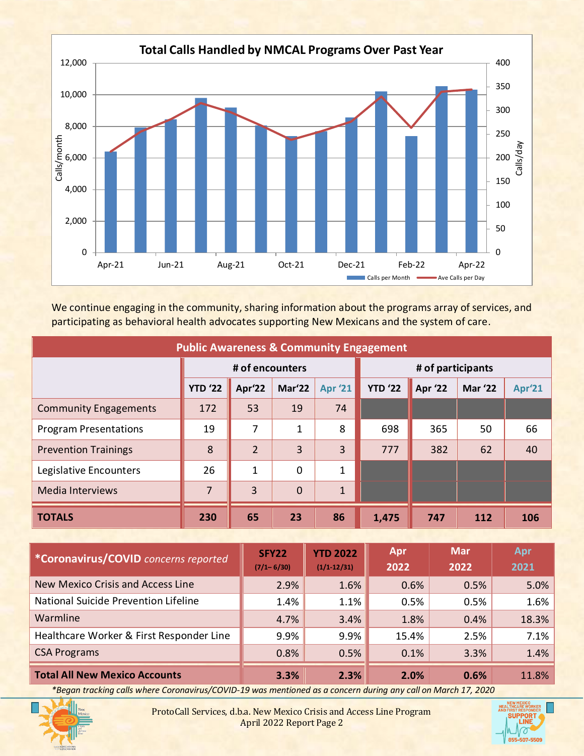

We continue engaging in the community, sharing information about the programs array of services, and participating as behavioral health advocates supporting New Mexicans and the system of care.

| <b>Public Awareness &amp; Community Engagement</b> |                 |                |                |                |                |                   |                |        |
|----------------------------------------------------|-----------------|----------------|----------------|----------------|----------------|-------------------|----------------|--------|
|                                                    | # of encounters |                |                |                |                | # of participants |                |        |
|                                                    | <b>YTD '22</b>  | Apr'22         | Mar'22         | <b>Apr '21</b> | <b>YTD '22</b> | <b>Apr '22</b>    | <b>Mar '22</b> | Apr'21 |
| <b>Community Engagements</b>                       | 172             | 53             | 19             | 74             |                |                   |                |        |
| <b>Program Presentations</b>                       | 19              | 7              | $\mathbf 1$    | 8              | 698            | 365               | 50             | 66     |
| <b>Prevention Trainings</b>                        | 8               | $\overline{2}$ | 3              | 3              | 777            | 382               | 62             | 40     |
| Legislative Encounters                             | 26              | 1              | 0              | 1              |                |                   |                |        |
| <b>Media Interviews</b>                            | $\overline{7}$  | 3              | $\overline{0}$ | $\mathbf{1}$   |                |                   |                |        |
| <b>TOTALS</b>                                      | 230             | 65             | 23             | 86             | 1,475          | 747               | 112            | 106    |

| <i>*Coronavirus/COVID concerns reported</i> | SFY <sub>22</sub><br>$(7/1 - 6/30)$ | <b>YTD 2022</b><br>$(1/1-12/31)$ | Apr<br>2022 | <b>Mar</b><br>2022 | Apr<br>2021 |
|---------------------------------------------|-------------------------------------|----------------------------------|-------------|--------------------|-------------|
| New Mexico Crisis and Access Line           | 2.9%                                | $1.6\%$                          | 0.6%        | 0.5%               | 5.0%        |
| National Suicide Prevention Lifeline        | 1.4%                                | 1.1%                             | 0.5%        | 0.5%               | 1.6%        |
| Warmline                                    | 4.7%                                | 3.4%                             | 1.8%        | 0.4%               | 18.3%       |
| Healthcare Worker & First Responder Line    | 9.9%                                | 9.9%                             | 15.4%       | 2.5%               | 7.1%        |
| <b>CSA Programs</b>                         | 0.8%                                | 0.5%                             | 0.1%        | 3.3%               | 1.4%        |
| <b>Total All New Mexico Accounts</b>        | 3.3%                                | 2.3%                             | 2.0%        | 0.6%               | 11.8%       |

*\*Began tracking calls where Coronavirus/COVID-19 was mentioned as a concern during any call on March 17, 2020*



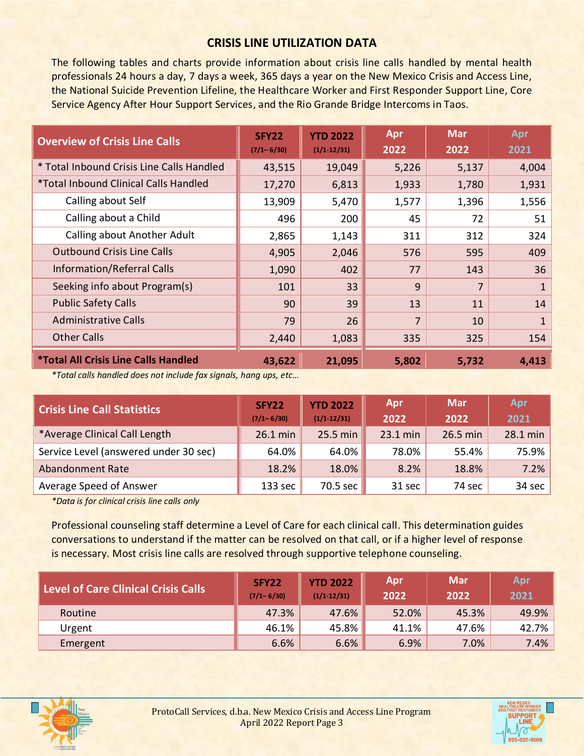#### **CRISIS LINE UTILIZATION DATA**

The following tables and charts provide information about crisis line calls handled by mental health professionals 24 hours a day, 7 days a week, 365 days a year on the New Mexico Crisis and Access Line, the National Suicide Prevention Lifeline, the Healthcare Worker and First Responder Support Line, Core Service Agency After Hour Support Services, and the Rio Grande Bridge Intercoms in Taos.

| <b>Overview of Crisis Line Calls</b>               | <b>SFY22</b><br>$(7/1 - 6/30)$ | <b>YTD 2022</b><br>$(1/1 - 12/31)$ | Apr<br>2022 | <b>Mar</b><br>2022 | Apr<br>2021 |
|----------------------------------------------------|--------------------------------|------------------------------------|-------------|--------------------|-------------|
| * Total Inbound Crisis Line Calls Handled          | 43,515                         | 19,049                             | 5,226       | 5,137              | 4,004       |
| <i>*Total Inbound Clinical Calls Handled</i>       | 17,270                         | 6,813                              | 1,933       | 1,780              | 1,931       |
| Calling about Self                                 | 13,909                         | 5,470                              | 1,577       | 1,396              | 1,556       |
| Calling about a Child                              | 496                            | 200                                | 45          | 72                 | 51          |
| Calling about Another Adult                        | 2,865                          | 1,143                              | 311         | 312                | 324         |
| <b>Outbound Crisis Line Calls</b>                  | 4,905                          | 2,046                              | 576         | 595                | 409         |
| Information/Referral Calls                         | 1,090                          | 402                                | 77          | 143                | 36          |
| Seeking info about Program(s)                      | 101                            | 33                                 | 9           | 7                  | 1           |
| <b>Public Safety Calls</b>                         | 90                             | 39                                 | 13          | 11                 | 14          |
| <b>Administrative Calls</b>                        | 79                             | 26                                 | 7           | 10                 | 1           |
| <b>Other Calls</b>                                 | 2,440                          | 1,083                              | 335         | 325                | 154         |
| <i><b>*Total All Crisis Line Calls Handled</b></i> | 43,622                         | 21,095                             | 5,802       | 5,732              | 4,413       |

*\*Total calls handled does not include fax signals, hang ups, etc…*

| <b>Crisis Line Call Statistics</b>    | SFY22<br>$(7/1 - 6/30)$ | <b>YTD 2022</b><br>$(1/1 - 12/31)$ | Apr<br>2022 | <b>Mar</b><br>2022 | Apr<br>2021 |
|---------------------------------------|-------------------------|------------------------------------|-------------|--------------------|-------------|
| *Average Clinical Call Length         | 26.1 min                | 25.5 min                           | 23.1 min    | 26.5 min           | 28.1 min    |
| Service Level (answered under 30 sec) | 64.0%                   | 64.0%                              | 78.0%       | 55.4%              | 75.9%       |
| <b>Abandonment Rate</b>               | 18.2%                   | 18.0%                              | 8.2%        | 18.8%              | 7.2%        |
| Average Speed of Answer               | 133 sec                 | 70.5 sec                           | 31 sec      | 74 sec             | 34 sec      |

*\*Data is for clinical crisis line calls only*

Professional counseling staff determine a Level of Care for each clinical call. This determination guides conversations to understand if the matter can be resolved on that call, or if a higher level of response is necessary. Most crisis line calls are resolved through supportive telephone counseling.

| <b>Level of Care Clinical Crisis Calls</b> | SFY22<br>$(7/1 - 6/30)$ | <b>YTD 2022</b><br>$(1/1-12/31)$ | Apr<br>2022 | <b>Mar</b><br>2022 | Apr<br>2021 |
|--------------------------------------------|-------------------------|----------------------------------|-------------|--------------------|-------------|
| Routine                                    | 47.3%                   | 47.6%                            | 52.0%       | 45.3%              | 49.9%       |
| Urgent                                     | 46.1%                   | 45.8%                            | 41.1%       | 47.6%              | 42.7%       |
| Emergent                                   | 6.6%                    | $6.6\%$                          | 6.9%        | 7.0%               | 7.4%        |



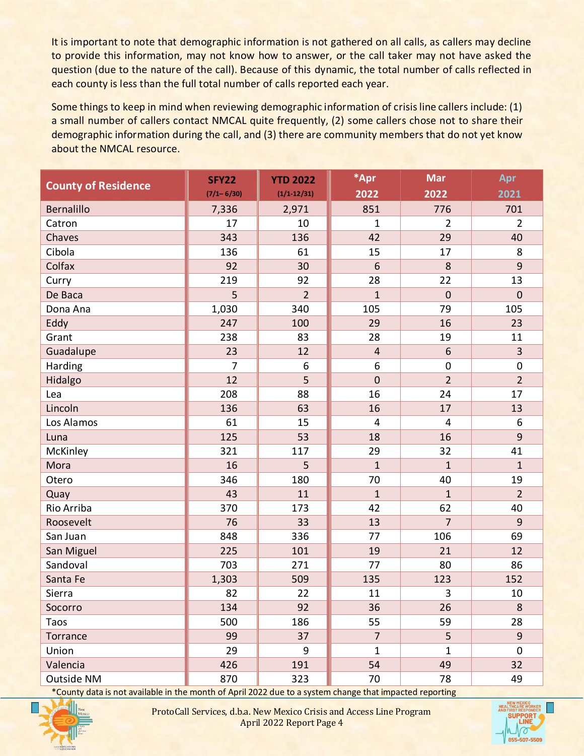It is important to note that demographic information is not gathered on all calls, as callers may decline to provide this information, may not know how to answer, or the call taker may not have asked the question (due to the nature of the call). Because of this dynamic, the total number of calls reflected in each county is less than the full total number of calls reported each year.

Some things to keep in mind when reviewing demographic information of crisis line callers include: (1) a small number of callers contact NMCAL quite frequently, (2) some callers chose not to share their demographic information during the call, and (3) there are community members that do not yet know about the NMCAL resource.

| <b>County of Residence</b> | <b>SFY22</b>   | <b>YTD 2022</b> | *Apr             | <b>Mar</b>      | Apr            |
|----------------------------|----------------|-----------------|------------------|-----------------|----------------|
|                            | $(7/1 - 6/30)$ | $(1/1 - 12/31)$ | 2022             | 2022            | 2021           |
| Bernalillo                 | 7,336          | 2,971           | 851              | 776             | 701            |
| Catron                     | 17             | 10              | 1                | 2               | $\overline{2}$ |
| Chaves                     | 343            | 136             | 42               | 29              | 40             |
| Cibola                     | 136            | 61              | 15               | 17              | 8              |
| Colfax                     | 92             | 30              | 6                | 8               | 9              |
| Curry                      | 219            | 92              | 28               | 22              | 13             |
| De Baca                    | 5              | $\overline{2}$  | $\mathbf{1}$     | $\overline{0}$  | $\mathbf 0$    |
| Dona Ana                   | 1,030          | 340             | 105              | 79              | 105            |
| Eddy                       | 247            | 100             | 29               | 16              | 23             |
| Grant                      | 238            | 83              | 28               | 19              | 11             |
| Guadalupe                  | 23             | 12              | $\overline{4}$   | $6\phantom{1}6$ | 3              |
| Harding                    | 7              | 6               | $\boldsymbol{6}$ | $\mathbf 0$     | $\pmb{0}$      |
| Hidalgo                    | 12             | 5               | $\mathbf 0$      | $\overline{2}$  | $\overline{2}$ |
| Lea                        | 208            | 88              | 16               | 24              | 17             |
| Lincoln                    | 136            | 63              | 16               | 17              | 13             |
| Los Alamos                 | 61             | 15              | 4                | 4               | 6              |
| Luna                       | 125            | 53              | 18               | 16              | $\overline{9}$ |
| McKinley                   | 321            | 117             | 29               | 32              | 41             |
| Mora                       | 16             | 5               | $\mathbf{1}$     | $\mathbf{1}$    | $\mathbf{1}$   |
| Otero                      | 346            | 180             | 70               | 40              | 19             |
| Quay                       | 43             | 11              | $\mathbf 1$      | $\mathbf{1}$    | $\overline{2}$ |
| Rio Arriba                 | 370            | 173             | 42               | 62              | 40             |
| Roosevelt                  | 76             | 33              | 13               | $\overline{7}$  | $\overline{9}$ |
| San Juan                   | 848            | 336             | 77               | 106             | 69             |
| San Miguel                 | 225            | 101             | 19               | 21              | 12             |
| Sandoval                   | 703            | 271             | 77               | 80              | 86             |
| Santa Fe                   | 1,303          | 509             | 135              | 123             | 152            |
| Sierra                     | 82             | 22              | 11               | 3               | 10             |
| Socorro                    | 134            | 92              | 36               | 26              | 8              |
| Taos                       | 500            | 186             | 55               | 59              | 28             |
| Torrance                   | 99             | 37              | $\overline{7}$   | 5               | 9              |
| Union                      | 29             | 9               | $\mathbf{1}$     | $\mathbf{1}$    | $\mathbf 0$    |
| Valencia                   | 426            | 191             | 54               | 49              | 32             |
| Outside NM                 | 870            | 323             | 70               | 78              | 49             |

\*County data is not available in the month of April 2022 due to a system change that impacted reporting



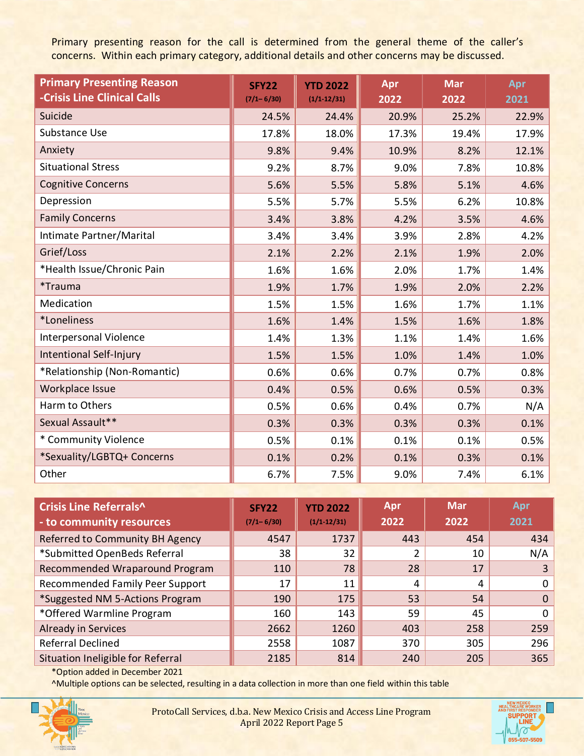Primary presenting reason for the call is determined from the general theme of the caller's concerns. Within each primary category, additional details and other concerns may be discussed.

| <b>Primary Presenting Reason</b><br>-Crisis Line Clinical Calls | <b>SFY22</b><br>$(7/1 - 6/30)$ | <b>YTD 2022</b><br>$(1/1 - 12/31)$ | Apr<br>2022 | <b>Mar</b><br>2022 | Apr<br>2021 |
|-----------------------------------------------------------------|--------------------------------|------------------------------------|-------------|--------------------|-------------|
| Suicide                                                         | 24.5%                          | 24.4%                              | 20.9%       | 25.2%              | 22.9%       |
| Substance Use                                                   | 17.8%                          | 18.0%                              | 17.3%       | 19.4%              | 17.9%       |
| Anxiety                                                         | 9.8%                           | 9.4%                               | 10.9%       | 8.2%               | 12.1%       |
| <b>Situational Stress</b>                                       | 9.2%                           | 8.7%                               | 9.0%        | 7.8%               | 10.8%       |
| <b>Cognitive Concerns</b>                                       | 5.6%                           | 5.5%                               | 5.8%        | 5.1%               | 4.6%        |
| Depression                                                      | 5.5%                           | 5.7%                               | 5.5%        | 6.2%               | 10.8%       |
| <b>Family Concerns</b>                                          | 3.4%                           | 3.8%                               | 4.2%        | 3.5%               | 4.6%        |
| Intimate Partner/Marital                                        | 3.4%                           | 3.4%                               | 3.9%        | 2.8%               | 4.2%        |
| Grief/Loss                                                      | 2.1%                           | 2.2%                               | 2.1%        | 1.9%               | 2.0%        |
| *Health Issue/Chronic Pain                                      | 1.6%                           | 1.6%                               | 2.0%        | 1.7%               | 1.4%        |
| <i><b>*Trauma</b></i>                                           | 1.9%                           | 1.7%                               | 1.9%        | 2.0%               | 2.2%        |
| Medication                                                      | 1.5%                           | 1.5%                               | 1.6%        | 1.7%               | 1.1%        |
| *Loneliness                                                     | 1.6%                           | 1.4%                               | 1.5%        | 1.6%               | 1.8%        |
| <b>Interpersonal Violence</b>                                   | 1.4%                           | 1.3%                               | 1.1%        | 1.4%               | 1.6%        |
| Intentional Self-Injury                                         | 1.5%                           | 1.5%                               | 1.0%        | 1.4%               | 1.0%        |
| *Relationship (Non-Romantic)                                    | 0.6%                           | 0.6%                               | 0.7%        | 0.7%               | 0.8%        |
| Workplace Issue                                                 | 0.4%                           | 0.5%                               | 0.6%        | 0.5%               | 0.3%        |
| Harm to Others                                                  | 0.5%                           | 0.6%                               | 0.4%        | 0.7%               | N/A         |
| Sexual Assault**                                                | 0.3%                           | 0.3%                               | 0.3%        | 0.3%               | 0.1%        |
| * Community Violence                                            | 0.5%                           | 0.1%                               | 0.1%        | 0.1%               | 0.5%        |
| *Sexuality/LGBTQ+ Concerns                                      | 0.1%                           | 0.2%                               | 0.1%        | 0.3%               | 0.1%        |
| Other                                                           | 6.7%                           | 7.5%                               | 9.0%        | 7.4%               | 6.1%        |

| Crisis Line Referrals^<br>- to community resources | <b>SFY22</b><br>$(7/1 - 6/30)$ | <b>YTD 2022</b><br>$(1/1 - 12/31)$ | Apr<br>2022 | <b>Mar</b><br>2022 | Apr<br>2021 |
|----------------------------------------------------|--------------------------------|------------------------------------|-------------|--------------------|-------------|
| Referred to Community BH Agency                    | 4547                           | 1737                               | 443         | 454                | 434         |
| *Submitted OpenBeds Referral                       | 38                             | 32                                 | ำ           | 10                 | N/A         |
| Recommended Wraparound Program                     | 110                            | 78                                 | 28          | 17                 | 3           |
| Recommended Family Peer Support                    | 17                             | 11                                 | 4           | 4                  | $\Omega$    |
| *Suggested NM 5-Actions Program                    | 190                            | 175                                | 53          | 54                 | $\Omega$    |
| *Offered Warmline Program                          | 160                            | 143                                | 59          | 45                 | $\Omega$    |
| <b>Already in Services</b>                         | 2662                           | 1260                               | 403         | 258                | 259         |
| Referral Declined                                  | 2558                           | 1087                               | 370         | 305                | 296         |
| <b>Situation Ineligible for Referral</b>           | 2185                           | 814                                | 240         | 205                | 365         |

\*Option added in December 2021

^Multiple options can be selected, resulting in a data collection in more than one field within this table



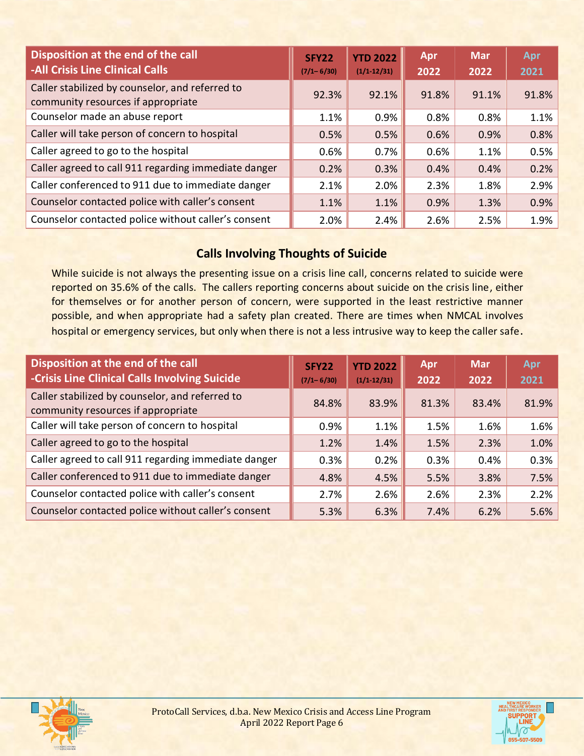| Disposition at the end of the call<br><b>-All Crisis Line Clinical Calls</b>          | <b>SFY22</b><br>$(7/1 - 6/30)$ | <b>YTD 2022</b><br>$(1/1-12/31)$ | Apr<br>2022 | <b>Mar</b><br>2022 | Apr<br>2021 |
|---------------------------------------------------------------------------------------|--------------------------------|----------------------------------|-------------|--------------------|-------------|
| Caller stabilized by counselor, and referred to<br>community resources if appropriate | 92.3%                          | 92.1%                            | 91.8%       | 91.1%              | 91.8%       |
| Counselor made an abuse report                                                        | 1.1%                           | 0.9%                             | 0.8%        | 0.8%               | 1.1%        |
| Caller will take person of concern to hospital                                        | 0.5%                           | 0.5%                             | 0.6%        | 0.9%               | 0.8%        |
| Caller agreed to go to the hospital                                                   | 0.6%                           | 0.7%                             | 0.6%        | 1.1%               | 0.5%        |
| Caller agreed to call 911 regarding immediate danger                                  | 0.2%                           | 0.3%                             | 0.4%        | 0.4%               | 0.2%        |
| Caller conferenced to 911 due to immediate danger                                     | 2.1%                           | 2.0%                             | 2.3%        | 1.8%               | 2.9%        |
| Counselor contacted police with caller's consent                                      | 1.1%                           | 1.1%                             | 0.9%        | 1.3%               | 0.9%        |
| Counselor contacted police without caller's consent                                   | 2.0%                           | 2.4%                             | 2.6%        | 2.5%               | 1.9%        |

## **Calls Involving Thoughts of Suicide**

While suicide is not always the presenting issue on a crisis line call, concerns related to suicide were reported on 35.6% of the calls. The callers reporting concerns about suicide on the crisis line, either for themselves or for another person of concern, were supported in the least restrictive manner possible, and when appropriate had a safety plan created. There are times when NMCAL involves hospital or emergency services, but only when there is not a less intrusive way to keep the caller safe.

| Disposition at the end of the call<br>-Crisis Line Clinical Calls Involving Suicide   | <b>SFY22</b><br>$(7/1 - 6/30)$ | <b>YTD 2022</b><br>$(1/1 - 12/31)$ | Apr<br>2022 | <b>Mar</b><br>2022 | Apr<br>2021 |
|---------------------------------------------------------------------------------------|--------------------------------|------------------------------------|-------------|--------------------|-------------|
| Caller stabilized by counselor, and referred to<br>community resources if appropriate | 84.8%                          | 83.9%                              | 81.3%       | 83.4%              | 81.9%       |
| Caller will take person of concern to hospital                                        | 0.9%                           | 1.1%                               | 1.5%        | 1.6%               | 1.6%        |
| Caller agreed to go to the hospital                                                   | 1.2%                           | 1.4%                               | 1.5%        | 2.3%               | 1.0%        |
| Caller agreed to call 911 regarding immediate danger                                  | 0.3%                           | 0.2%                               | 0.3%        | 0.4%               | 0.3%        |
| Caller conferenced to 911 due to immediate danger                                     | 4.8%                           | 4.5%                               | 5.5%        | 3.8%               | 7.5%        |
| Counselor contacted police with caller's consent                                      | 2.7%                           | 2.6%                               | 2.6%        | 2.3%               | 2.2%        |
| Counselor contacted police without caller's consent                                   | 5.3%                           | 6.3%                               | 7.4%        | 6.2%               | 5.6%        |



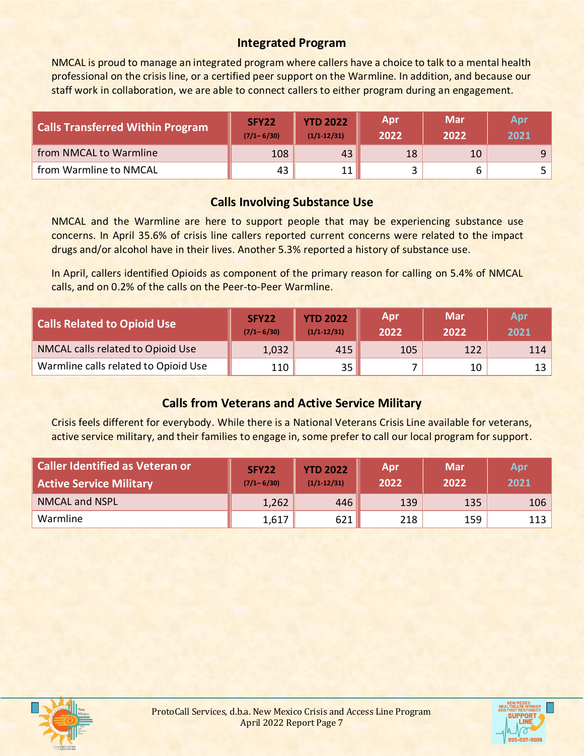### **Integrated Program**

NMCAL is proud to manage an integrated program where callers have a choice to talk to a mental health professional on the crisis line, or a certified peer support on the Warmline. In addition, and because our staff work in collaboration, we are able to connect callers to either program during an engagement.

| Calls Transferred Within Program | SFY <sub>22</sub><br>$(7/1 - 6/30)$ | <b>YTD 2022</b><br>$(1/1-12/31)$ | <b>Apr</b><br>2022 | <b>Mar</b><br>2022 | Apr<br>2021 |
|----------------------------------|-------------------------------------|----------------------------------|--------------------|--------------------|-------------|
| from NMCAL to Warmline           | 108                                 | 43                               | 18                 | 10                 | 9           |
| from Warmline to NMCAL           | 43                                  | 11 <sub>1</sub>                  |                    |                    |             |

#### **Calls Involving Substance Use**

NMCAL and the Warmline are here to support people that may be experiencing substance use concerns. In April 35.6% of crisis line callers reported current concerns were related to the impact drugs and/or alcohol have in their lives. Another 5.3% reported a history of substance use.

In April, callers identified Opioids as component of the primary reason for calling on 5.4% of NMCAL calls, and on 0.2% of the calls on the Peer-to-Peer Warmline.

| <b>Calls Related to Opioid Use</b>   | SFY22<br>$(7/1 - 6/30)$ | <b>YTD 2022</b><br>$(1/1-12/31)$ | <b>Apr</b><br>2022 | Mar<br>2022 | Apr<br>2021 |
|--------------------------------------|-------------------------|----------------------------------|--------------------|-------------|-------------|
| NMCAL calls related to Opioid Use    | 1,032                   | 415                              | 105                | 122         | 114         |
| Warmline calls related to Opioid Use | 110                     | 35 l                             |                    | 10          |             |

## **Calls from Veterans and Active Service Military**

Crisis feels different for everybody. While there is a National Veterans Crisis Line available for veterans, active service military, and their families to engage in, some prefer to call our local program for support.

| Caller Identified as Veteran or<br>Active Service Military | <b>SFY22</b><br>$(7/1 - 6/30)$ | <b>YTD 2022</b><br>$(1/1 - 12/31)$ | <b>Apr</b><br>2022 | <b>Mar</b><br>2022 | Apr<br>2021 |
|------------------------------------------------------------|--------------------------------|------------------------------------|--------------------|--------------------|-------------|
| <b>NMCAL and NSPL</b>                                      | 1,262                          | 446                                | 139                | 135                | 106         |
| Warmline                                                   | 1,617                          | 621                                | 218                | 159                | 113         |



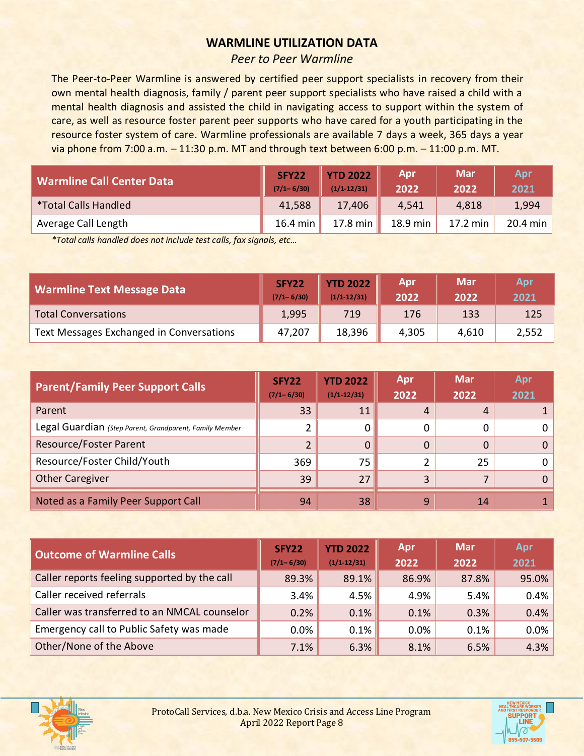#### **WARMLINE UTILIZATION DATA**

#### *Peer to Peer Warmline*

The Peer-to-Peer Warmline is answered by certified peer support specialists in recovery from their own mental health diagnosis, family / parent peer support specialists who have raised a child with a mental health diagnosis and assisted the child in navigating access to support within the system of care, as well as resource foster parent peer supports who have cared for a youth participating in the resource foster system of care. Warmline professionals are available 7 days a week, 365 days a year via phone from 7:00 a.m. – 11:30 p.m. MT and through text between 6:00 p.m. – 11:00 p.m. MT.

| <b>Warmline Call Center Data</b> | SFY22<br>$(7/1 - 6/30)$ | <b>YTD 2022</b><br>$(1/1-12/31)$ | Apr<br>2022 | <b>Mar</b><br>2022 | Apr<br>2021 |
|----------------------------------|-------------------------|----------------------------------|-------------|--------------------|-------------|
| <i>*</i> Total Calls Handled     | 41,588                  | 17,406                           | 4,541       | 4,818              | 1,994       |
| Average Call Length              | 16.4 min                | 17.8 min                         | 18.9 min    | 17.2 min           | 20.4 min    |

*\*Total calls handled does not include test calls, fax signals, etc…*

| Warmline Text Message Data               | SFY22<br>$(7/1 - 6/30)$ | <b>YTD 2022</b><br>$(1/1-12/31)$ | <b>Apr</b><br>2022 | <b>Mar</b><br>2022 | <b>Apr</b><br>2021 |
|------------------------------------------|-------------------------|----------------------------------|--------------------|--------------------|--------------------|
| <b>Total Conversations</b>               | 1,995                   | 719                              | 176                | 133                | 125                |
| Text Messages Exchanged in Conversations | 47,207                  | 18,396                           | 4,305              | 4,610              | 2,552              |

| <b>Parent/Family Peer Support Calls</b>                 | <b>SFY22</b><br>$(7/1 - 6/30)$ | <b>YTD 2022</b><br>$(1/1-12/31)$ | Apr<br>2022 | <b>Mar</b><br>2022 | Apr<br>2021 |
|---------------------------------------------------------|--------------------------------|----------------------------------|-------------|--------------------|-------------|
| Parent                                                  | 33                             | 11                               | 4           |                    |             |
| Legal Guardian (Step Parent, Grandparent, Family Member |                                | 0                                | 0           | $\Omega$           |             |
| <b>Resource/Foster Parent</b>                           |                                | 0                                | $\Omega$    | 0                  |             |
| Resource/Foster Child/Youth                             | 369                            | 75                               |             | 25                 |             |
| <b>Other Caregiver</b>                                  | 39                             | 27                               | 3           |                    | 0           |
| Noted as a Family Peer Support Call                     | 94                             | 38                               | 9           | 14                 |             |

| <b>Outcome of Warmline Calls</b>             | SFY22<br>$(7/1 - 6/30)$ | <b>YTD 2022</b><br>$(1/1-12/31)$ | Apr<br>2022 | <b>Mar</b><br>2022 | Apr<br>2021 |
|----------------------------------------------|-------------------------|----------------------------------|-------------|--------------------|-------------|
| Caller reports feeling supported by the call | 89.3%                   | 89.1%                            | 86.9%       | 87.8%              | 95.0%       |
| Caller received referrals                    | 3.4%                    | 4.5%                             | 4.9%        | 5.4%               | 0.4%        |
| Caller was transferred to an NMCAL counselor | 0.2%                    | $0.1\%$                          | 0.1%        | 0.3%               | 0.4%        |
| Emergency call to Public Safety was made     | 0.0%                    | $0.1\%$                          | 0.0%        | 0.1%               | 0.0%        |
| Other/None of the Above                      | 7.1%                    | 6.3%                             | 8.1%        | 6.5%               | 4.3%        |



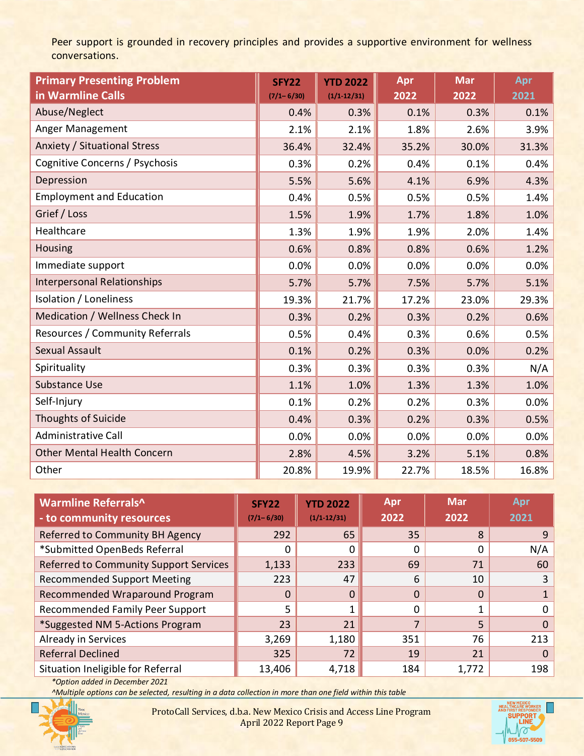Peer support is grounded in recovery principles and provides a supportive environment for wellness conversations.

| <b>Primary Presenting Problem</b><br>in Warmline Calls | <b>SFY22</b><br>$(7/1 - 6/30)$ | <b>YTD 2022</b><br>$(1/1 - 12/31)$ | Apr<br>2022 | <b>Mar</b><br>2022 | Apr<br>2021 |
|--------------------------------------------------------|--------------------------------|------------------------------------|-------------|--------------------|-------------|
| Abuse/Neglect                                          | 0.4%                           | 0.3%                               | 0.1%        | 0.3%               | 0.1%        |
| Anger Management                                       | 2.1%                           | 2.1%                               | 1.8%        | 2.6%               | 3.9%        |
| Anxiety / Situational Stress                           | 36.4%                          | 32.4%                              | 35.2%       | 30.0%              | 31.3%       |
| Cognitive Concerns / Psychosis                         | 0.3%                           | 0.2%                               | 0.4%        | 0.1%               | 0.4%        |
| Depression                                             | 5.5%                           | 5.6%                               | 4.1%        | 6.9%               | 4.3%        |
| <b>Employment and Education</b>                        | 0.4%                           | 0.5%                               | 0.5%        | 0.5%               | 1.4%        |
| Grief / Loss                                           | 1.5%                           | 1.9%                               | 1.7%        | 1.8%               | 1.0%        |
| Healthcare                                             | 1.3%                           | 1.9%                               | 1.9%        | 2.0%               | 1.4%        |
| Housing                                                | 0.6%                           | 0.8%                               | 0.8%        | 0.6%               | 1.2%        |
| Immediate support                                      | 0.0%                           | 0.0%                               | 0.0%        | 0.0%               | 0.0%        |
| <b>Interpersonal Relationships</b>                     | 5.7%                           | 5.7%                               | 7.5%        | 5.7%               | 5.1%        |
| Isolation / Loneliness                                 | 19.3%                          | 21.7%                              | 17.2%       | 23.0%              | 29.3%       |
| Medication / Wellness Check In                         | 0.3%                           | 0.2%                               | 0.3%        | 0.2%               | 0.6%        |
| Resources / Community Referrals                        | 0.5%                           | 0.4%                               | 0.3%        | 0.6%               | 0.5%        |
| <b>Sexual Assault</b>                                  | 0.1%                           | 0.2%                               | 0.3%        | 0.0%               | 0.2%        |
| Spirituality                                           | 0.3%                           | 0.3%                               | 0.3%        | 0.3%               | N/A         |
| <b>Substance Use</b>                                   | 1.1%                           | 1.0%                               | 1.3%        | 1.3%               | 1.0%        |
| Self-Injury                                            | 0.1%                           | 0.2%                               | 0.2%        | 0.3%               | 0.0%        |
| <b>Thoughts of Suicide</b>                             | 0.4%                           | 0.3%                               | 0.2%        | 0.3%               | 0.5%        |
| <b>Administrative Call</b>                             | 0.0%                           | 0.0%                               | 0.0%        | 0.0%               | 0.0%        |
| <b>Other Mental Health Concern</b>                     | 2.8%                           | 4.5%                               | 3.2%        | 5.1%               | 0.8%        |
| Other                                                  | 20.8%                          | 19.9%                              | 22.7%       | 18.5%              | 16.8%       |

| Warmline Referrals^<br>- to community resources | SFY <sub>22</sub><br>$(7/1 - 6/30)$ | <b>YTD 2022</b><br>$(1/1-12/31)$ | Apr<br>2022              | <b>Mar</b><br>2022 | Apr<br>2021 |
|-------------------------------------------------|-------------------------------------|----------------------------------|--------------------------|--------------------|-------------|
| Referred to Community BH Agency                 | 292                                 | 65                               | 35                       | 8                  | 9           |
| *Submitted OpenBeds Referral                    | 0                                   | 0                                | 0                        | 0                  | N/A         |
| Referred to Community Support Services          | 1,133                               | 233                              | 69                       | 71                 | 60          |
| <b>Recommended Support Meeting</b>              | 223                                 | 47                               | 6                        | 10                 | 3           |
| Recommended Wraparound Program                  | $\Omega$                            | 0                                | $\Omega$                 | $\Omega$           |             |
| Recommended Family Peer Support                 | 5                                   |                                  | 0                        | $\mathbf{1}$       | 0           |
| *Suggested NM 5-Actions Program                 | 23                                  | 21                               | $\overline{\phantom{a}}$ | 5                  | $\Omega$    |
| Already in Services                             | 3,269                               | 1,180                            | 351                      | 76                 | 213         |
| <b>Referral Declined</b>                        | 325                                 | 72                               | 19                       | 21                 | 0           |
| Situation Ineligible for Referral               | 13,406                              | 4,718                            | 184                      | 1,772              | 198         |

*\*Option added in December 2021*

*^Multiple options can be selected, resulting in a data collection in more than one field within this table*



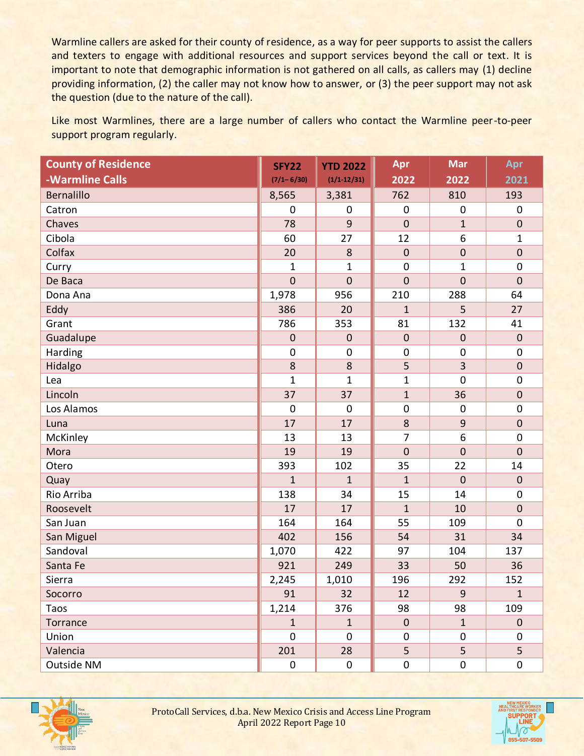Warmline callers are asked for their county of residence, as a way for peer supports to assist the callers and texters to engage with additional resources and support services beyond the call or text. It is important to note that demographic information is not gathered on all calls, as callers may (1) decline providing information, (2) the caller may not know how to answer, or (3) the peer support may not ask the question (due to the nature of the call).

Like most Warmlines, there are a large number of callers who contact the Warmline peer-to-peer support program regularly.

| <b>County of Residence</b> | <b>SFY22</b>   | <b>YTD 2022</b> | Apr            | <b>Mar</b>     | Apr              |
|----------------------------|----------------|-----------------|----------------|----------------|------------------|
| -Warmline Calls            | $(7/1 - 6/30)$ | $(1/1 - 12/31)$ | 2022           | 2022           | 2021             |
| <b>Bernalillo</b>          | 8,565          | 3,381           | 762            | 810            | 193              |
| Catron                     | $\mathbf 0$    | $\mathbf 0$     | $\mathbf 0$    | $\mathbf 0$    | 0                |
| Chaves                     | 78             | 9               | $\mathbf 0$    | $\mathbf{1}$   | $\pmb{0}$        |
| Cibola                     | 60             | 27              | 12             | 6              | $\mathbf{1}$     |
| Colfax                     | 20             | 8               | $\mathbf 0$    | $\mathbf 0$    | $\pmb{0}$        |
| Curry                      | $\mathbf{1}$   | $\mathbf 1$     | $\mathbf 0$    | $\mathbf 1$    | $\mathbf 0$      |
| De Baca                    | $\mathbf 0$    | $\mathbf 0$     | $\mathbf 0$    | $\overline{0}$ | $\boldsymbol{0}$ |
| Dona Ana                   | 1,978          | 956             | 210            | 288            | 64               |
| Eddy                       | 386            | 20              | $\mathbf{1}$   | 5              | 27               |
| Grant                      | 786            | 353             | 81             | 132            | 41               |
| Guadalupe                  | $\pmb{0}$      | $\mathbf 0$     | $\pmb{0}$      | $\mathbf 0$    | $\pmb{0}$        |
| Harding                    | $\mathbf 0$    | $\mathbf 0$     | $\mathbf 0$    | $\mathbf 0$    | $\mathbf 0$      |
| Hidalgo                    | 8              | 8               | 5              | 3              | $\boldsymbol{0}$ |
| Lea                        | $\mathbf{1}$   | $\mathbf 1$     | $\mathbf{1}$   | $\mathbf 0$    | $\mathbf 0$      |
| Lincoln                    | 37             | 37              | $\mathbf 1$    | 36             | $\pmb{0}$        |
| Los Alamos                 | $\mathbf 0$    | $\mathbf 0$     | $\mathbf 0$    | $\mathbf 0$    | $\mathbf 0$      |
| Luna                       | 17             | 17              | 8              | 9              | $\boldsymbol{0}$ |
| McKinley                   | 13             | 13              | $\overline{7}$ | 6              | $\mathbf 0$      |
| Mora                       | 19             | 19              | $\mathbf 0$    | $\mathbf 0$    | $\mathbf 0$      |
| Otero                      | 393            | 102             | 35             | 22             | 14               |
| Quay                       | $\mathbf{1}$   | $\mathbf{1}$    | $\mathbf{1}$   | $\mathbf 0$    | $\boldsymbol{0}$ |
| Rio Arriba                 | 138            | 34              | 15             | 14             | $\mathbf 0$      |
| Roosevelt                  | 17             | 17              | $\mathbf{1}$   | 10             | $\boldsymbol{0}$ |
| San Juan                   | 164            | 164             | 55             | 109            | $\mathbf 0$      |
| San Miguel                 | 402            | 156             | 54             | 31             | 34               |
| Sandoval                   | 1,070          | 422             | 97             | 104            | 137              |
| Santa Fe                   | 921            | 249             | 33             | 50             | 36               |
| Sierra                     | 2,245          | 1,010           | 196            | 292            | 152              |
| Socorro                    | 91             | 32              | 12             | 9              | $\mathbf{1}$     |
| Taos                       | 1,214          | 376             | 98             | 98             | 109              |
| Torrance                   | $\mathbf{1}$   | $\mathbf{1}$    | $\mathbf 0$    | $\mathbf{1}$   | $\overline{0}$   |
| Union                      | $\mathbf 0$    | $\mathbf 0$     | $\mathbf 0$    | 0              | 0                |
| Valencia                   | 201            | 28              | 5              | 5              | 5                |
| Outside NM                 | $\pmb{0}$      | $\mathbf 0$     | $\pmb{0}$      | $\mathbf 0$    | $\pmb{0}$        |